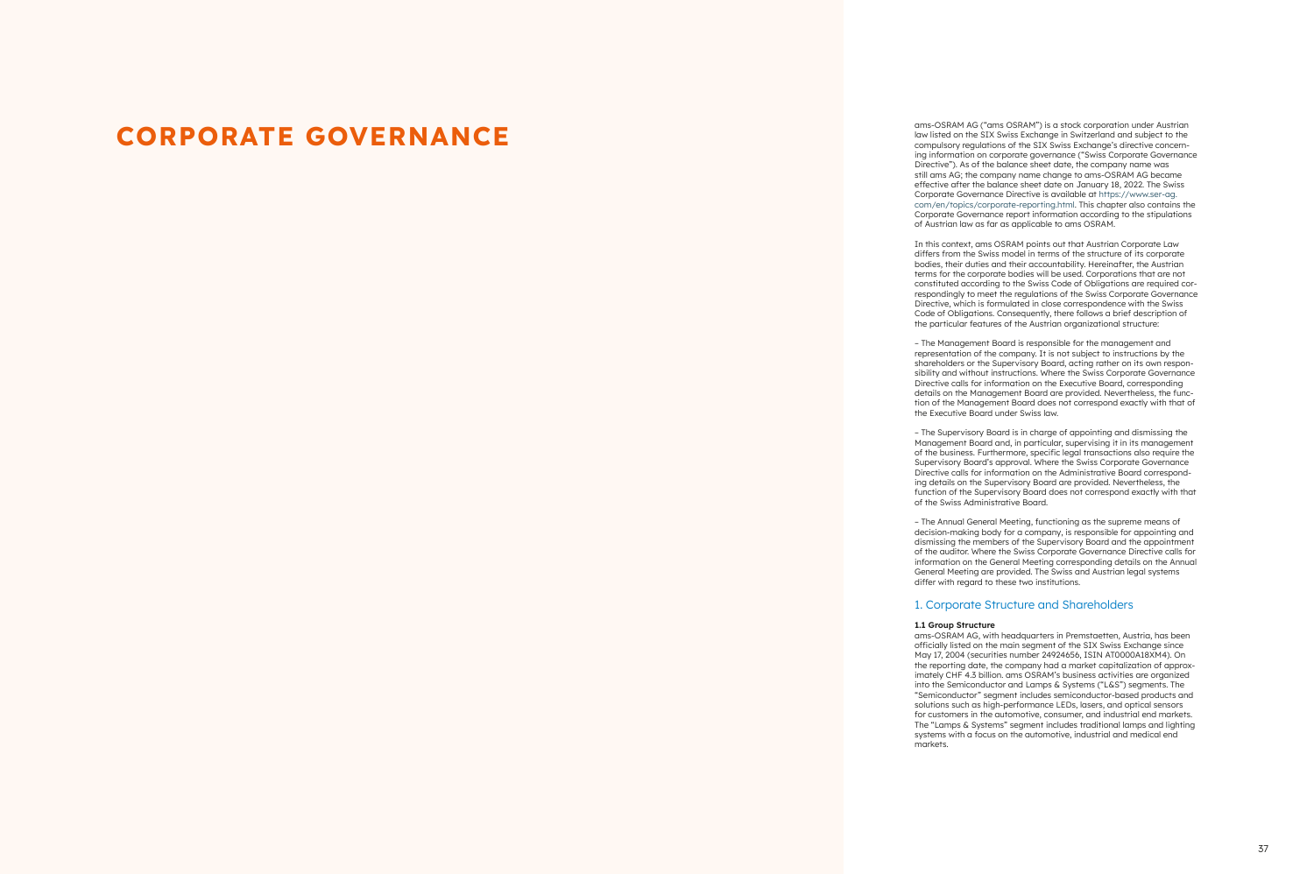# FORPORATE GOVERNANCE

law listed on the SIX Swiss Exchange in Switzerland and subject to the compulsory regulations of the SIX Swiss Exchange's directive concern ing information on corporate governance ("Swiss Corporate Governance Directive"). As of the balance sheet date, the company name was still ams AG; the company name change to ams-OSRAM AG became effective after the balance sheet date on January 18, 2022. The Swiss Corporate Governance Directive is available at [https://www.ser-ag.](https://www.ser-ag.com/en/topics/corporate-reporting.html) [com/en/topics/corporate-reporting.html](https://www.ser-ag.com/en/topics/corporate-reporting.html). This chapter also contains the Corporate Governance report information according to the stipulations of Austrian law as far as applicable to ams OSRAM.

In this context, ams OSRAM points out that Austrian Corporate Law differs from the Swiss model in terms of the structure of its corporate bodies, their duties and their accountability. Hereinafter, the Austrian terms for the corporate bodies will be used. Corporations that are not constituted according to the Swiss Code of Obligations are required cor respondingly to meet the regulations of the Swiss Corporate Governance Directive, which is formulated in close correspondence with the Swiss Code of Obligations. Consequently, there follows a brief description of the particular features of the Austrian organizational structure:

– The Management Board is responsible for the management and representation of the company. It is not subject to instructions by the shareholders or the Supervisory Board, acting rather on its own respon sibility and without instructions. Where the Swiss Corporate Governance Directive calls for information on the Executive Board, corresponding details on the Management Board are provided. Nevertheless, the func tion of the Management Board does not correspond exactly with that of the Executive Board under Swiss law.

– The Supervisory Board is in charge of appointing and dismissing the Management Board and, in particular, supervising it in its management of the business. Furthermore, specific legal transactions also require the Supervisory Board's approval. Where the Swiss Corporate Governance Directive calls for information on the Administrative Board correspond ing details on the Supervisory Board are provided. Nevertheless, the function of the Supervisory Board does not correspond exactly with that of the Swiss Administrative Board.

– The Annual General Meeting, functioning as the supreme means of decision-making body for a company, is responsible for appointing and dismissing the members of the Supervisory Board and the appointment of the auditor. Where the Swiss Corporate Governance Directive calls for information on the General Meeting corresponding details on the Annual General Meeting are provided. The Swiss and Austrian legal systems differ with regard to these two institutions.

# 1. Corporate Structure and Shareholders

**1.1 Group Structure** 

ams-OSRAM AG, with headquarters in Premstaetten, Austria, has been officially listed on the main segment of the SIX Swiss Exchange since May 17, 2004 (securities number 24924656, ISIN AT0000A18XM4). On the reporting date, the company had a market capitalization of approx imately CHF 4.3 billion. ams OSRAM's business activities are organized into the Semiconductor and Lamps & Systems ("L&S") segments. The "Semiconductor" segment includes semiconductor-based products and solutions such as high-performance LEDs, lasers, and optical sensors for customers in the automotive, consumer, and industrial end markets. The "Lamps & Systems" segment includes traditional lamps and lighting systems with a focus on the automotive, industrial and medical end

markets.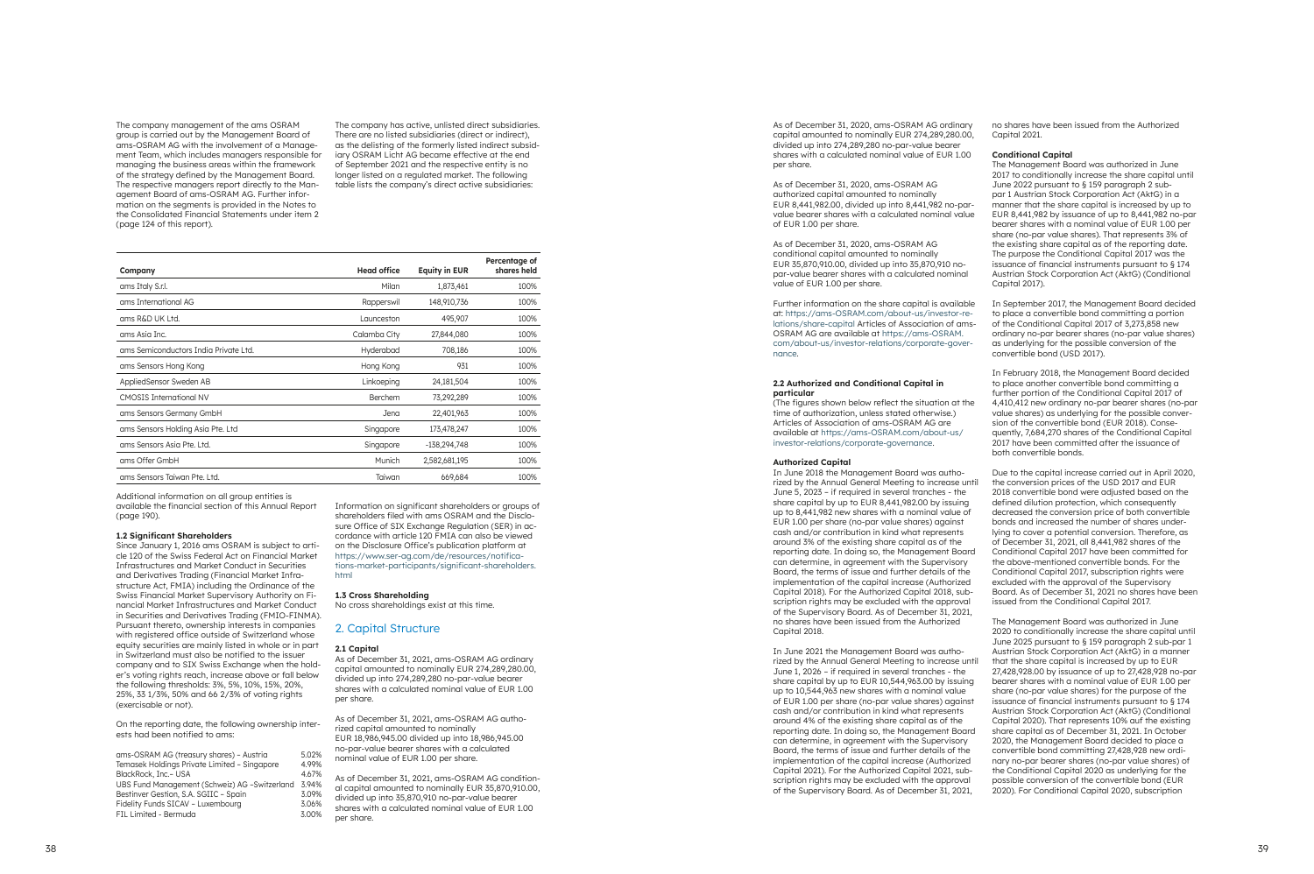The company management of the ams OSRAM group is carried out by the Management Board of ams-OSRAM AG with the involvement of a Manage ment Team, which includes managers responsible for managing the business areas within the framework of the strategy defined by the Management Board. The respective managers report directly to the Man agement Board of ams-OSRAM AG. Further infor mation on the segments is provided in the Notes to the Consolidated Financial Statements under item 2 (page 124 of this report).

The company has active, unlisted direct subsidiaries. There are no listed subsidiaries (direct or indirect), as the delisting of the formerly listed indirect subsid iary OSRAM Licht AG became effective at the end of September 2021 and the respective entity is no longer listed on a regulated market. The following table lists the company's direct active subsidiaries:

| Company                               | <b>Head office</b> | <b>Equity in EUR</b> | Percentage of<br>shares held |
|---------------------------------------|--------------------|----------------------|------------------------------|
| ams Italy S.r.l.                      | Milan              | 1,873,461            | 100%                         |
| ams International AG                  | Rapperswil         | 148,910,736          | 100%                         |
| ams R&D UK Ltd.                       | Launceston         | 495,907              | 100%                         |
| ams Asia Inc.                         | Calamba City       | 27,844,080           | 100%                         |
| ams Semiconductors India Private Ltd. | Hyderabad          | 708,186              | 100%                         |
| ams Sensors Hong Kong                 | Hong Kong          | 931                  | 100%                         |
| AppliedSensor Sweden AB               | Linkoeping         | 24,181,504           | 100%                         |
| <b>CMOSIS International NV</b>        | Berchem            | 73,292,289           | 100%                         |
| ams Sensors Germany GmbH              | Jena               | 22,401,963           | 100%                         |
| ams Sensors Holding Asia Pte. Ltd     | Singapore          | 173,478,247          | 100%                         |
| ams Sensors Asia Pte. Ltd.            | Singapore          | $-138,294,748$       | 100%                         |
| ams Offer GmbH                        | Munich             | 2,582,681,195        | 100%                         |
| ams Sensors Taiwan Pte. Ltd.          | Taiwan             | 669,684              | 100%                         |

Additional information on all group entities is available the financial section of this Annual Report (page 190).

#### **1.2 Significant Shareholders**

Since January 1, 2016 ams OSRAM is subject to arti cle 120 of the Swiss Federal Act on Financial Market Infrastructures and Market Conduct in Securities and Derivatives Trading (Financial Market Infra structure Act, FMIA) including the Ordinance of the Swiss Financial Market Supervisory Authority on Fi nancial Market Infrastructures and Market Conduct in Securities and Derivatives Trading (FMIO-FINMA). Pursuant thereto, ownership interests in companies with registered office outside of Switzerland whose equity securities are mainly listed in whole or in part in Switzerland must also be notified to the issuer company and to SIX Swiss Exchange when the hold er's voting rights reach, increase above or fall below the following thresholds: 3%, 5%, 10%, 15%, 20%, 25%, 33 1/3%, 50% and 66 2/3% of voting rights (exercisable or not).

On the reporting date, the following ownership inter ests had been notified to ams:

| ams-OSRAM AG (treasury shares) - Austria      | 5.02% |
|-----------------------------------------------|-------|
| Temasek Holdings Private Limited - Singapore  | 4.99% |
| BlackRock, Inc.- USA                          | 4.67% |
| UBS Fund Management (Schweiz) AG -Switzerland | 3.94% |
| Bestinver Gestion, S.A. SGIIC - Spain         | 3.09% |
| Fidelity Funds SICAV - Luxembourg             | 3.06% |
| FIL Limited - Bermuda                         | 3.00% |

Information on significant shareholders or groups of shareholders filed with ams OSRAM and the Disclo sure Office of SIX Exchange Regulation (SER) in ac cordance with article 120 FMIA can also be viewed on the Disclosure Office's publication platform at [https://www.ser-ag.com/de/resources/notifica](https://www.ser-ag.com/de/resources/notifications-market-participants/significant-shareholders.html) [tions-market-participants/significant-shareholders.](https://www.ser-ag.com/de/resources/notifications-market-participants/significant-shareholders.html) [html](https://www.ser-ag.com/de/resources/notifications-market-participants/significant-shareholders.html)

# **1.3 Cross Shareholding**

No cross shareholdings exist at this time.

### 2. Capital Structure

# **2.1 Capital**

As of December 31, 2021, ams-OSRAM AG ordinary capital amounted to nominally EUR 274,289,280.00, divided up into 274,289,280 no-par-value bearer shares with a calculated nominal value of EUR 1.00 per share.

As of December 31, 2021, ams-OSRAM AG authorized capital amounted to nominally EUR 18,986,945.00 divided up into 18,986,945.00 no-par-value bearer shares with a calculated nominal value of EUR 1.00 per share.

As of December 31, 2021, ams-OSRAM AG condition al capital amounted to nominally EUR 35,870,910.00, divided up into 35,870,910 no-par-value bearer shares with a calculated nominal value of EUR 1.00 per share.

As of December 31, 2020, ams-OSRAM AG ordinary capital amounted to nominally EUR 274,289,280.00, divided up into 274,289,280 no-par-value bearer shares with a calculated nominal value of EUR 1.00 per share.

As of December 31, 2020, ams-OSRAM AG authorized capital amounted to nominally EUR 8,441,982.00, divided up into 8,441,982 no-parvalue bearer shares with a calculated nominal value of EUR 1.00 per share.

As of December 31, 2020, ams-OSRAM AG conditional capital amounted to nominally EUR 35,870,910.00, divided up into 35,870,910 nopar-value bearer shares with a calculated nominal value of EUR 1.00 per share.

Further information on the share capital is available at: [https://ams-OSRAM.com/about-us/investor-re](https://ams-OSRAM.com/about-us/investor-relations/share-capital) [lations/share-capital](https://ams-OSRAM.com/about-us/investor-relations/share-capital) Articles of Association of ams-OSRAM AG are available at [https://ams-OSRAM.](https://ams-OSRAM.com/about-us/investor-relations/corporate-governance) [com/about-us/investor-relations/corporate-gover](https://ams-OSRAM.com/about-us/investor-relations/corporate-governance) [nance](https://ams-OSRAM.com/about-us/investor-relations/corporate-governance) .

#### **2.2 Authorized and Conditional Capital in particular**

(The figures shown below reflect the situation at the time of authorization, unless stated otherwise.) Articles of Association of ams-OSRAM AG are available at [https://ams-OSRAM.com/about-us/](https://ams-OSRAM.com/about-us/investor-relations/corporate-governance) [investor-relations/corporate-governance](https://ams-OSRAM.com/about-us/investor-relations/corporate-governance) .

#### **Authorized Capital**

In June 2018 the Management Board was autho rized by the Annual General Meeting to increase until June 5, 2023 – if required in several tranches - the share capital by up to EUR 8,441,982.00 by issuing up to 8,441,982 new shares with a nominal value of EUR 1.00 per share (no-par value shares) against cash and/or contribution in kind what represents around 3% of the existing share capital as of the reporting date. In doing so, the Management Board can determine, in agreement with the Supervisory Board, the terms of issue and further details of the implementation of the capital increase (Authorized Capital 2018). For the Authorized Capital 2018, sub scription rights may be excluded with the approval of the Supervisory Board. As of December 31, 2021, no shares have been issued from the Authorized Capital 2018.

In June 2021 the Management Board was autho rized by the Annual General Meeting to increase until June 1, 2026 – if required in several tranches - the share capital by up to EUR 10,544,963.00 by issuing up to 10,544,963 new shares with a nominal value of EUR 1.00 per share (no-par value shares) against cash and/or contribution in kind what represents around 4% of the existing share capital as of the reporting date. In doing so, the Management Board can determine, in agreement with the Supervisory Board, the terms of issue and further details of the implementation of the capital increase (Authorized Capital 2021). For the Authorized Capital 2021, sub scription rights may be excluded with the approval of the Supervisory Board. As of December 31, 2021,

no shares have been issued from the Authorized Capital 2021.

### **Conditional Capital**

The Management Board was authorized in June 2017 to conditionally increase the share capital until June 2022 pursuant to § 159 paragraph 2 subpar 1 Austrian Stock Corporation Act (AktG) in a manner that the share capital is increased by up to EUR 8,441,982 by issuance of up to 8,441,982 no-par bearer shares with a nominal value of EUR 1.00 per share (no-par value shares). That represents 3% of the existing share capital as of the reporting date. The purpose the Conditional Capital 2017 was the issuance of financial instruments pursuant to § 174 Austrian Stock Corporation Act (AktG) (Conditional Capital 2017).

In September 2017, the Management Board decided to place a convertible bond committing a portion of the Conditional Capital 2017 of 3,273,858 new ordinary no-par bearer shares (no-par value shares) as underlying for the possible conversion of the convertible bond (USD 2017).

In February 2018, the Management Board decided to place another convertible bond committing a further portion of the Conditional Capital 2017 of 4,410,412 new ordinary no-par bearer shares (no-par value shares) as underlying for the possible conver sion of the convertible bond (EUR 2018). Conse quently, 7,684,270 shares of the Conditional Capital 2017 have been committed after the issuance of both convertible bonds.

Due to the capital increase carried out in April 2020, the conversion prices of the USD 2017 and EUR 2018 convertible bond were adjusted based on the defined dilution protection, which consequently decreased the conversion price of both convertible bonds and increased the number of shares under lying to cover a potential conversion. Therefore, as of December 31, 2021, all 8,441,982 shares of the Conditional Capital 2017 have been committed for the above-mentioned convertible bonds. For the Conditional Capital 2017, subscription rights were excluded with the approval of the Supervisory Board. As of December 31, 2021 no shares have been issued from the Conditional Capital 2017.

The Management Board was authorized in June 2020 to conditionally increase the share capital until June 2025 pursuant to § 159 paragraph 2 sub-par 1 Austrian Stock Corporation Act (AktG) in a manner that the share capital is increased by up to EUR 27,428,928.00 by issuance of up to 27,428,928 no-par bearer shares with a nominal value of EUR 1.00 per share (no-par value shares) for the purpose of the issuance of financial instruments pursuant to § 174 Austrian Stock Corporation Act (AktG) (Conditional Capital 2020). That represents 10% auf the existing share capital as of December 31, 2021. In October 2020, the Management Board decided to place a convertible bond committing 27,428,928 new ordi nary no-par bearer shares (no-par value shares) of the Conditional Capital 2020 as underlying for the possible conversion of the convertible bond (EUR 2020). For Conditional Capital 2020, subscription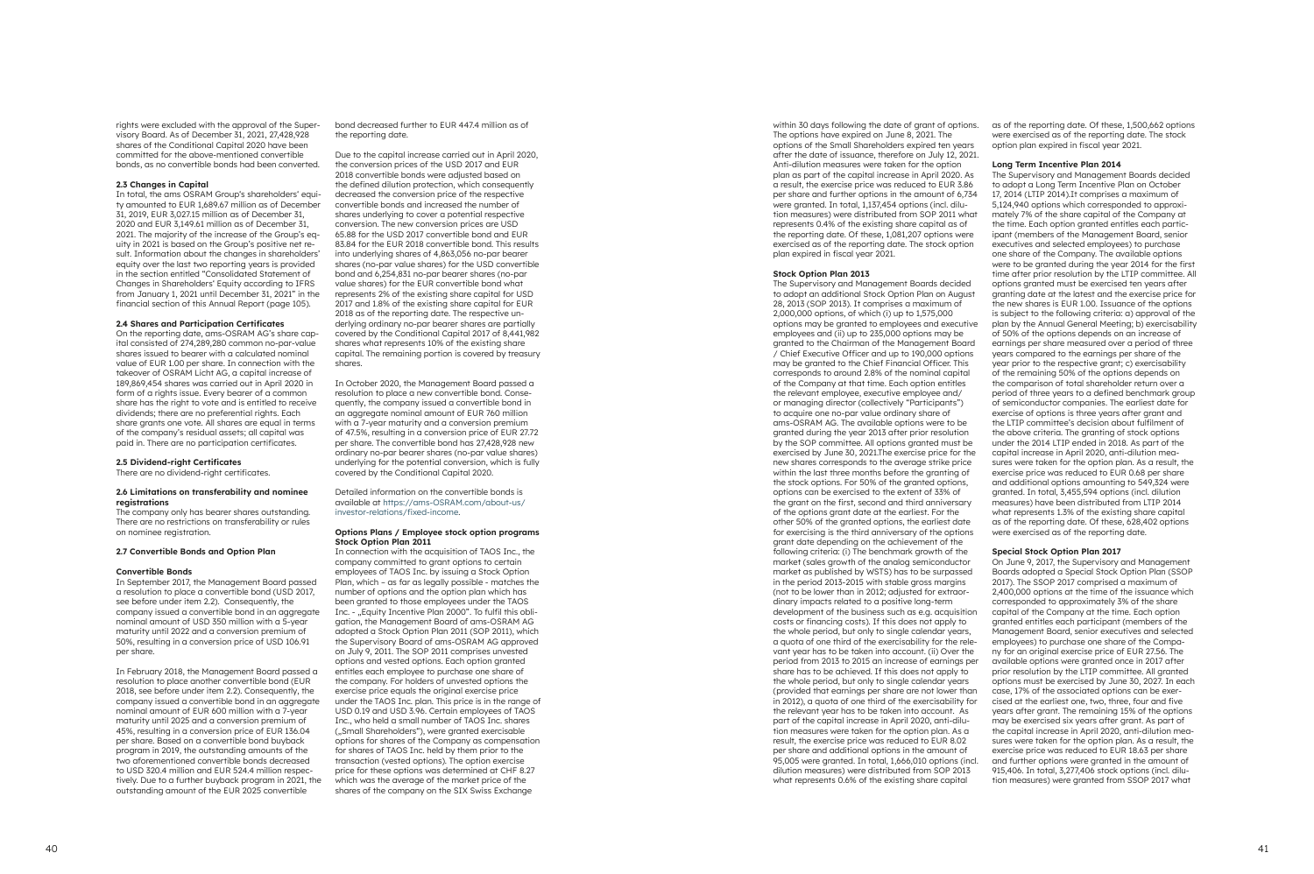rights were excluded with the approval of the Super visory Board. As of December 31, 2021, 27,428,928 shares of the Conditional Capital 2020 have been committed for the above-mentioned convertible bonds, as no convertible bonds had been converted.

#### **2.3 Changes in Capital**

In total, the ams OSRAM Group's shareholders' equity amounted to EUR 1,689.67 million as of December 31, 2019, EUR 3,027.15 million as of December 31, 2020 and EUR 3,149.61 million as of December 31, 2021. The majority of the increase of the Group's eq uity in 2021 is based on the Group's positive net re sult. Information about the changes in shareholders' equity over the last two reporting years is provided in the section entitled "Consolidated Statement of Changes in Shareholders' Equity according to IFRS from January 1, 2021 until December 31, 2021" in the financial section of this Annual Report (page 105).

#### **2.4 Shares and Participation Certificates**

On the reporting date, ams-OSRAM AG's share cap ital consisted of 274,289,280 common no-par-value shares issued to bearer with a calculated nominal value of EUR 1.00 per share. In connection with the takeover of OSRAM Licht AG, a capital increase of 189,869,454 shares was carried out in April 2020 in form of a rights issue. Every bearer of a common share has the right to vote and is entitled to receive dividends; there are no preferential rights. Each share grants one vote. All shares are equal in terms of the company's residual assets; all capital was paid in. There are no participation certificates.

#### **2.5 Dividend-right Certificates**

There are no dividend-right certificates.

#### **2.6 Limitations on transferability and nominee registrations**

The company only has bearer shares outstanding. There are no restrictions on transferability or rules on nominee registration.

#### **2.7 Convertible Bonds and Option Plan**

#### **Convertible Bonds**

In September 2017, the Management Board passed a resolution to place a convertible bond (USD 2017, see before under item 2.2). Consequently, the company issued a convertible bond in an aggregate nominal amount of USD 350 million with a 5-year maturity until 2022 and a conversion premium of 50%, resulting in a conversion price of USD 106.91 per share.

In February 2018, the Management Board passed a resolution to place another convertible bond (EUR 2018, see before under item 2.2). Consequently, the company issued a convertible bond in an aggregate nominal amount of EUR 600 million with a 7-year maturity until 2025 and a conversion premium of 45%, resulting in a conversion price of EUR 136.04 per share. Based on a convertible bond buyback program in 2019, the outstanding amounts of the two aforementioned convertible bonds decreased to USD 320.4 million and EUR 524.4 million respectively. Due to a further buyback program in 2021, the outstanding amount of the EUR 2025 convertible

bond decreased further to EUR 447.4 million as of the reporting date.

Due to the capital increase carried out in April 2020, the conversion prices of the USD 2017 and EUR 2018 convertible bonds were adjusted based on the defined dilution protection, which consequently decreased the conversion price of the respective convertible bonds and increased the number of shares underlying to cover a potential respective conversion. The new conversion prices are USD 65.88 for the USD 2017 convertible bond and EUR 83.84 for the EUR 2018 convertible bond. This results into underlying shares of 4,863,056 no-par bearer shares (no-par value shares) for the USD convertible bond and 6,254,831 no-par bearer shares (no-par value shares) for the EUR convertible bond what represents 2% of the existing share capital for USD 2017 and 1.8% of the existing share capital for EUR 2018 as of the reporting date. The respective un derlying ordinary no-par bearer shares are partially covered by the Conditional Capital 2017 of 8,441,982 shares what represents 10% of the existing share capital. The remaining portion is covered by treasury shares.

In October 2020, the Management Board passed a resolution to place a new convertible bond. Conse quently, the company issued a convertible bond in an aggregate nominal amount of EUR 760 million with a 7-year maturity and a conversion premium of 47.5%, resulting in a conversion price of EUR 27.72 per share. The convertible bond has 27,428,928 new ordinary no-par bearer shares (no-par value shares) underlying for the potential conversion, which is fully covered by the Conditional Capital 2020.

Detailed information on the convertible bonds is available at [https://ams-OSRAM.com/about-us/](https://ams-OSRAM.com/about-us/investor-relations/fixed-income) [investor-relations/fixed-income](https://ams-OSRAM.com/about-us/investor-relations/fixed-income) .

#### **Options Plans / Employee stock option programs Stock Option Plan 2011**

In connection with the acquisition of TAOS Inc., the company committed to grant options to certain employees of TAOS Inc. by issuing a Stock Option Plan, which – as far as legally possible - matches the number of options and the option plan which has been granted to those employees under the TAOS Inc. - "Equity Incentive Plan 2000". To fulfil this obligation, the Management Board of ams-OSRAM AG adopted a Stock Option Plan 2011 (SOP 2011), which the Supervisory Board of ams-OSRAM AG approved on July 9, 2011. The SOP 2011 comprises unvested options and vested options. Each option granted entitles each employee to purchase one share of the company. For holders of unvested options the exercise price equals the original exercise price under the TAOS Inc. plan. This price is in the range of USD 0.19 and USD 3.96. Certain employees of TAOS Inc., who held a small number of TAOS Inc. shares ("Small Shareholders"), were granted exercisable options for shares of the Company as compensation for shares of TAOS Inc. held by them prior to the transaction (vested options). The option exercise price for these options was determined at CHF 8.27 which was the average of the market price of the shares of the company on the SIX Swiss Exchange

within 30 days following the date of grant of options. The options have expired on June 8, 2021. The options of the Small Shareholders expired ten years after the date of issuance, therefore on July 12, 2021. Anti-dilution measures were taken for the option plan as part of the capital increase in April 2020. As a result, the exercise price was reduced to EUR 3.86 per share and further options in the amount of 6,734 were granted. In total, 1,137,454 options (incl. dilu tion measures) were distributed from SOP 2011 what represents 0.4% of the existing share capital as of the reporting date. Of these, 1,081,207 options were exercised as of the reporting date. The stock option plan expired in fiscal year 2021.

#### **Stock Option Plan 2013**

The Supervisory and Management Boards decided to adopt an additional Stock Option Plan on August 28, 2013 (SOP 2013). It comprises a maximum of 2,000,000 options, of which (i) up to 1,575,000 options may be granted to employees and executive employees and (ii) up to 235,000 options may be granted to the Chairman of the Management Board / Chief Executive Officer and up to 190,000 options may be granted to the Chief Financial Officer. This corresponds to around 2.8% of the nominal capital of the Company at that time. Each option entitles the relevant employee, executive employee and/ or managing director (collectively "Participants") to acquire one no-par value ordinary share of ams-OSRAM AG. The available options were to be granted during the year 2013 after prior resolution by the SOP committee. All options granted must be exercised by June 30, 2021.The exercise price for the new shares corresponds to the average strike price within the last three months before the granting of the stock options. For 50% of the granted options, options can be exercised to the extent of 33% of the grant on the first, second and third anniversary of the options grant date at the earliest. For the other 50% of the granted options, the earliest date for exercising is the third anniversary of the options grant date depending on the achievement of the following criteria: (i) The benchmark growth of the market (sales growth of the analog semiconductor market as published by WSTS) has to be surpassed in the period 2013-2015 with stable gross margins (not to be lower than in 2012; adjusted for extraor dinary impacts related to a positive long-term development of the business such as e.g. acquisition costs or financing costs). If this does not apply to the whole period, but only to single calendar years, a quota of one third of the exercisability for the rele vant year has to be taken into account. (ii) Over the period from 2013 to 2015 an increase of earnings per share has to be achieved. If this does not apply to the whole period, but only to single calendar years (provided that earnings per share are not lower than in 2012), a quota of one third of the exercisability for the relevant year has to be taken into account. As part of the capital increase in April 2020, anti-dilu tion measures were taken for the option plan. As a result, the exercise price was reduced to EUR 8.02 per share and additional options in the amount of 95,005 were granted. In total, 1,666,010 options (incl. dilution measures) were distributed from SOP 2013 what represents 0.6% of the existing share capital

as of the reporting date. Of these, 1,500,662 options were exercised as of the reporting date. The stock option plan expired in fiscal year 2021.

#### **Long Term Incentive Plan 2014**

The Supervisory and Management Boards decided to adopt a Long Term Incentive Plan on October 17, 2014 (LTIP 2014).It comprises a maximum of 5,124,940 options which corresponded to approxi mately 7% of the share capital of the Company at the time. Each option granted entitles each partic ipant (members of the Management Board, senior executives and selected employees) to purchase one share of the Company. The available options were to be granted during the year 2014 for the first time after prior resolution by the LTIP committee. All options granted must be exercised ten years after granting date at the latest and the exercise price for the new shares is EUR 1.00. Issuance of the options is subject to the following criteria: a) approval of the plan by the Annual General Meeting; b) exercisability of 50% of the options depends on an increase of earnings per share measured over a period of three years compared to the earnings per share of the year prior to the respective grant; c) exercisability of the remaining 50% of the options depends on the comparison of total shareholder return over a period of three years to a defined benchmark group of semiconductor companies. The earliest date for exercise of options is three years after grant and the LTIP committee's decision about fulfilment of the above criteria. The granting of stock options under the 2014 LTIP ended in 2018. As part of the capital increase in April 2020, anti-dilution mea sures were taken for the option plan. As a result, the exercise price was reduced to EUR 0.68 per share and additional options amounting to 549,324 were granted. In total, 3,455,594 options (incl. dilution measures) have been distributed from LTIP 2014 what represents 1.3% of the existing share capital as of the reporting date. Of these, 628,402 options were exercised as of the reporting date.

# **Special Stock Option Plan 2017**

On June 9, 2017, the Supervisory and Management Boards adopted a Special Stock Option Plan (SSOP 2017). The SSOP 2017 comprised a maximum of 2,400,000 options at the time of the issuance which corresponded to approximately 3% of the share capital of the Company at the time. Each option granted entitles each participant (members of the Management Board, senior executives and selected employees) to purchase one share of the Compa ny for an original exercise price of EUR 27.56. The available options were granted once in 2017 after prior resolution by the LTIP committee. All granted options must be exercised by June 30, 2027. In each case, 17% of the associated options can be exer cised at the earliest one, two, three, four and five years after grant. The remaining 15% of the options may be exercised six years after grant. As part of the capital increase in April 2020, anti-dilution mea sures were taken for the option plan. As a result, the exercise price was reduced to EUR 18.63 per share and further options were granted in the amount of 915,406. In total, 3,277,406 stock options (incl. dilu tion measures) were granted from SSOP 2017 what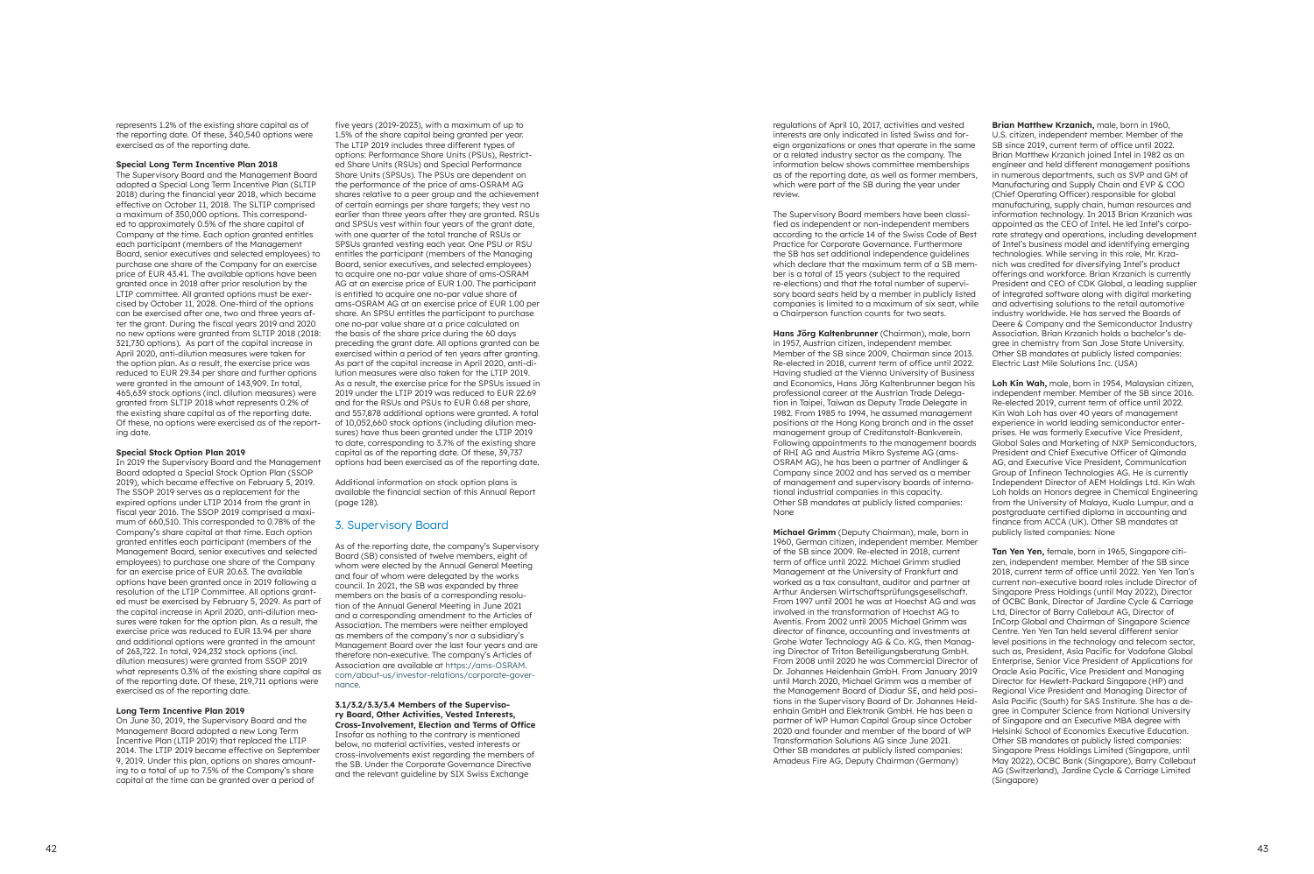represents 1.2% of the existing share capital as of the reporting date. Of these, 340,540 options were exercised as of the reporting date.

#### **Special Long Term Incentive Plan 2018**

The Supervisory Board and the Management Board adopted a Special Long Term Incentive Plan (SLTIP 2018) during the financial year 2018, which became effective on October 11, 2018. The SLTIP comprised a maximum of 350,000 options. This correspond ed to approximately 0.5% of the share capital of Company at the time. Each option granted entitles each participant (members of the Management Board, senior executives and selected employees) to purchase one share of the Company for an exercise price of EUR 43.41. The available options have been granted once in 2018 after prior resolution by the LTIP committee. All granted options must be exer cised by October 11, 2028. One-third of the options can be exercised after one, two and three years af ter the grant. During the fiscal years 2019 and 2020 no new options were granted from SLTIP 2018 (2018: 321,730 options). As part of the capital increase in April 2020, anti-dilution measures were taken for the option plan. As a result, the exercise price was reduced to EUR 29.34 per share and further options were granted in the amount of 143,909. In total, 465,639 stock options (incl. dilution measures) were granted from SLTIP 2018 what represents 0.2% of the existing share capital as of the reporting date. Of these, no options were exercised as of the report ing date.

In 2019 the Supervisory Board and the Management Board adopted a Special Stock Option Plan (SSOP 2019), which became effective on February 5, 2019. The SSOP 2019 serves as a replacement for the expired options under LTIP 2014 from the grant in fiscal year 2016. The SSOP 2019 comprised a maxi mum of 660,510. This corresponded to 0.78% of the Company's share capital at that time. Each option granted entitles each participant (members of the Management Board, senior executives and selected employees) to purchase one share of the Company for an exercise price of EUR 20.63. The available options have been granted once in 2019 following a resolution of the LTIP Committee. All options grant ed must be exercised by February 5, 2029. As part of the capital increase in April 2020, anti-dilution mea sures were taken for the option plan. As a result, the exercise price was reduced to EUR 13.94 per share and additional options were granted in the amount of 263,722. In total, 924,232 stock options (incl. dilution measures) were granted from SSOP 2019 what represents 0.3% of the existing share capital as of the reporting date. Of these, 219,711 options were exercised as of the reporting date.

#### **Special Stock Option Plan 2019**

#### **Long Term Incentive Plan 2019**

On June 30, 2019, the Supervisory Board and the Management Board adopted a new Long Term Incentive Plan (LTIP 2019) that replaced the LTIP 2014. The LTIP 2019 became effective on September 9, 2019. Under this plan, options on shares amount ing to a total of up to 7.5% of the Company's share capital at the time can be granted over a period of

five years (2019-2023), with a maximum of up to 1.5% of the share capital being granted per year. The LTIP 2019 includes three different types of options: Performance Share Units (PSUs), Restrict ed Share Units (RSUs) and Special Performance Share Units (SPSUs). The PSUs are dependent on the performance of the price of ams-OSRAM AG shares relative to a peer group and the achievement of certain earnings per share targets; they vest no earlier than three years after they are granted. RSUs and SPSUs vest within four years of the grant date, with one quarter of the total tranche of RSUs or SPSUs granted vesting each year. One PSU or RSU entitles the participant (members of the Managing Board, senior executives, and selected employees) to acquire one no-par value share of ams-OSRAM AG at an exercise price of EUR 1.00. The participant is entitled to acquire one no-par value share of ams-OSRAM AG at an exercise price of EUR 1.00 per share. An SPSU entitles the participant to purchase one no-par value share at a price calculated on the basis of the share price during the 60 days preceding the grant date. All options granted can be exercised within a period of ten years after granting. As part of the capital increase in April 2020, anti-di lution measures were also taken for the LTIP 2019. As a result, the exercise price for the SPSUs issued in 2019 under the LTIP 2019 was reduced to EUR 22.69 and for the RSUs and PSUs to EUR 0.68 per share, and 557,878 additional options were granted. A total of 10,052,660 stock options (including dilution mea sures) have thus been granted under the LTIP 2019 to date, corresponding to 3.7% of the existing share capital as of the reporting date. Of these, 39,737 options had been exercised as of the reporting date.

Additional information on stock option plans is available the financial section of this Annual Report (page 128).

# 3. Supervisory Board

As of the reporting date, the company's Supervisory Board (SB) consisted of twelve members, eight of whom were elected by the Annual General Meeting and four of whom were delegated by the works council. In 2021, the SB was expanded by three members on the basis of a corresponding resolu tion of the Annual General Meeting in June 2021 and a corresponding amendment to the Articles of Association. The members were neither employed as members of the company's nor a subsidiary's Management Board over the last four years and are therefore non-executive. The company's Articles of Association are available at [https://ams-OSRAM.](https://ams-OSRAM.com/about-us/investor-relations/corporate-governance) [com/about-us/investor-relations/corporate-gover](https://ams-OSRAM.com/about-us/investor-relations/corporate-governance) [nance](https://ams-OSRAM.com/about-us/investor-relations/corporate-governance) .

#### **3.1/3.2/3.3/3.4 Members of the Superviso ry Board, Other Activities, Vested Interests, Cross-Involvement, Election and Terms of Office**  Insofar as nothing to the contrary is mentioned

below, no material activities, vested interests or cross-involvements exist regarding the members of the SB. Under the Corporate Governance Directive and the relevant guideline by SIX Swiss Exchange

regulations of April 10, 2017, activities and vested interests are only indicated in listed Swiss and for eign organizations or ones that operate in the same or a related industry sector as the company. The information below shows committee memberships as of the reporting date, as well as former members, which were part of the SB during the year under review.

The Supervisory Board members have been classi fied as independent or non-independent members according to the article 14 of the Swiss Code of Best Practice for Corporate Governance. Furthermore the SB has set additional independence guidelines which declare that the maximum term of a SB mem ber is a total of 15 years (subject to the required re-elections) and that the total number of supervi sory board seats held by a member in publicly listed companies is limited to a maximum of six seat, while a Chairperson function counts for two seats.

**Hans Jörg Kaltenbrunner** (Chairman), male, born in 1957, Austrian citizen, independent member. Member of the SB since 2009, Chairman since 2013. Re-elected in 2018, current term of office until 2022. Having studied at the Vienna University of Business and Economics, Hans Jörg Kaltenbrunner began his professional career at the Austrian Trade Delega tion in Taipei, Taiwan as Deputy Trade Delegate in 1982. From 1985 to 1994, he assumed management positions at the Hong Kong branch and in the asset management group of Creditanstalt-Bankverein. Following appointments to the management boards of RHI AG and Austria Mikro Systeme AG (ams-OSRAM AG), he has been a partner of Andlinger & Company since 2002 and has served as a member of management and supervisory boards of interna tional industrial companies in this capacity. Other SB mandates at publicly listed companies: None

**Michael Grimm** (Deputy Chairman), male, born in 1960, German citizen, independent member. Member of the SB since 2009. Re-elected in 2018, current term of office until 2022. Michael Grimm studied Management at the University of Frankfurt and worked as a tax consultant, auditor and partner at Arthur Andersen Wirtschaftsprüfungsgesellschaft. From 1997 until 2001 he was at Hoechst AG and was involved in the transformation of Hoechst AG to Aventis. From 2002 until 2005 Michael Grimm was director of finance, accounting and investments at Grohe Water Technology AG & Co. KG, then Manag ing Director of Triton Beteiligungsberatung GmbH. From 2008 until 2020 he was Commercial Director of Dr. Johannes Heidenhain GmbH. From January 2019 until March 2020, Michael Grimm was a member of the Management Board of Diadur SE, and held posi tions in the Supervisory Board of Dr. Johannes Heid enhain GmbH and Elektronik GmbH. He has been a partner of WP Human Capital Group since October 2020 and founder and member of the board of WP Transformation Solutions AG since June 2021. Other SB mandates at publicly listed companies: Amadeus Fire AG, Deputy Chairman (Germany)

**Brian Matthew Krzanich,** male, born in 1960, U.S. citizen, independent member. Member of the SB since 2019, current term of office until 2022. Brian Matthew Krzanich joined Intel in 1982 as an engineer and held different management positions in numerous departments, such as SVP and GM of Manufacturing and Supply Chain and EVP & COO (Chief Operating Officer) responsible for global manufacturing, supply chain, human resources and information technology. In 2013 Brian Krzanich was appointed as the CEO of Intel. He led Intel's corpo rate strategy and operations, including development of Intel's business model and identifying emerging technologies. While serving in this role, Mr. Krza nich was credited for diversifying Intel's product offerings and workforce. Brian Krzanich is currently President and CEO of CDK Global, a leading supplier of integrated software along with digital marketing and advertising solutions to the retail automotive industry worldwide. He has served the Boards of Deere & Company and the Semiconductor Industry Association. Brian Krzanich holds a bachelor's de gree in chemistry from San Jose State University. Other SB mandates at publicly listed companies: Electric Last Mile Solutions Inc. (USA)

**Loh Kin Wah,** male, born in 1954, Malaysian citizen, independent member. Member of the SB since 2016. Re-elected 2019, current term of office until 2022. Kin Wah Loh has over 40 years of management experience in world leading semiconductor enter prises. He was formerly Executive Vice President, Global Sales and Marketing of NXP Semiconductors, President and Chief Executive Officer of Qimonda AG, and Executive Vice President, Communication Group of Infineon Technologies AG. He is currently Independent Director of AEM Holdings Ltd. Kin Wah Loh holds an Honors degree in Chemical Engineering from the University of Malaya, Kuala Lumpur, and a postgraduate certified diploma in accounting and finance from ACCA (UK). Other SB mandates at publicly listed companies: None

**Tan Yen Yen,** female, born in 1965, Singapore citi zen, independent member. Member of the SB since 2018, current term of office until 2022. Yen Yen Tan's current non-executive board roles include Director of Singapore Press Holdings (until May 2022), Director of OCBC Bank, Director of Jardine Cycle & Carriage Ltd, Director of Barry Callebaut AG, Director of InCorp Global and Chairman of Singapore Science Centre. Yen Yen Tan held several different senior level positions in the technology and telecom sector, such as, President, Asia Pacific for Vodafone Global Enterprise, Senior Vice President of Applications for Oracle Asia Pacific, Vice President and Managing Director for Hewlett-Packard Singapore (HP) and Regional Vice President and Managing Director of Asia Pacific (South) for SAS Institute. She has a de gree in Computer Science from National University of Singapore and an Executive MBA degree with Helsinki School of Economics Executive Education. Other SB mandates at publicly listed companies: Singapore Press Holdings Limited (Singapore, until May 2022), OCBC Bank (Singapore), Barry Callebaut AG (Switzerland), Jardine Cycle & Carriage Limited (Singapore)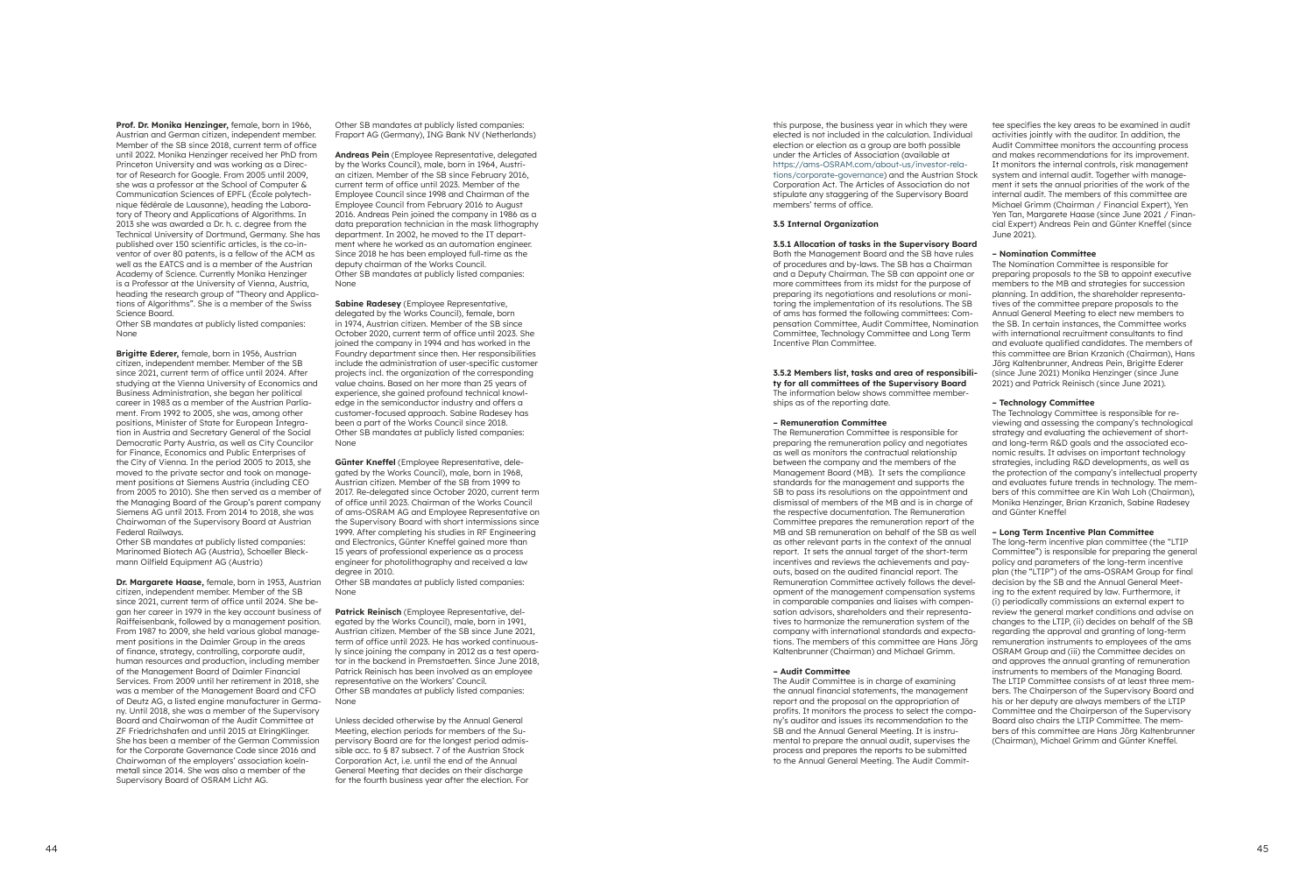**Prof. Dr. Monika Henzinger,** female, born in 1966, Austrian and German citizen, independent member. Member of the SB since 2018, current term of office until 2022. Monika Henzinger received her PhD from Princeton University and was working as a Direc tor of Research for Google. From 2005 until 2009, she was a professor at the School of Computer & Communication Sciences of EPFL (École polytech nique fédérale de Lausanne), heading the Labora tory of Theory and Applications of Algorithms. In 2013 she was awarded a Dr. h. c. degree from the Technical University of Dortmund, Germany. She has published over 150 scientific articles, is the co-in ventor of over 80 patents, is a fellow of the ACM as well as the EATCS and is a member of the Austrian Academy of Science. Currently Monika Henzinger is a Professor at the University of Vienna, Austria, heading the research group of "Theory and Applica tions of Algorithms". She is a member of the Swiss Science Board.

Other SB mandates at publicly listed companies: None

**Brigitte Ederer,** female, born in 1956, Austrian citizen, independent member. Member of the SB since 2021, current term of office until 2024. After studying at the Vienna University of Economics and Business Administration, she began her political career in 1983 as a member of the Austrian Parlia ment. From 1992 to 2005, she was, among other positions, Minister of State for European Integra tion in Austria and Secretary General of the Social Democratic Party Austria, as well as City Councilor for Finance, Economics and Public Enterprises of the City of Vienna. In the period 2005 to 2013, she moved to the private sector and took on manage ment positions at Siemens Austria (including CEO from 2005 to 2010). She then served as a member of the Managing Board of the Group's parent company Siemens AG until 2013. From 2014 to 2018, she was Chairwoman of the Supervisory Board at Austrian Federal Railways.

Other SB mandates at publicly listed companies: Fraport AG (Germany), ING Bank NV (Netherlands)

Other SB mandates at publicly listed companies: Marinomed Biotech AG (Austria), Schoeller Bleck mann Oilfield Equipment AG (Austria)

**Sabine Radesey** (Employee Representative, delegated by the Works Council), female, born in 1974, Austrian citizen. Member of the SB since October 2020, current term of office until 2023. She joined the company in 1994 and has worked in the Foundry department since then. Her responsibilities include the administration of user-specific customer projects incl. the organization of the corresponding value chains. Based on her more than 25 years of experience, she gained profound technical knowl edge in the semiconductor industry and offers a customer-focused approach. Sabine Radesey has been a part of the Works Council since 2018. Other SB mandates at publicly listed companies: None

**Dr. Margarete Haase,** female, born in 1953, Austrian citizen, independent member. Member of the SB since 2021, current term of office until 2024. She be gan her career in 1979 in the key account business of Raiffeisenbank, followed by a management position. From 1987 to 2009, she held various global manage ment positions in the Daimler Group in the areas of finance, strategy, controlling, corporate audit, human resources and production, including member of the Management Board of Daimler Financial Services. From 2009 until her retirement in 2018, she was a member of the Management Board and CFO of Deutz AG, a listed engine manufacturer in Germa ny. Until 2018, she was a member of the Supervisory Board and Chairwoman of the Audit Committee at ZF Friedrichshafen and until 2015 at ElringKlinger. She has been a member of the German Commission for the Corporate Governance Code since 2016 and Chairwoman of the employers' association koeln metall since 2014. She was also a member of the Supervisory Board of OSRAM Licht AG.

**Andreas Pein** (Employee Representative, delegated by the Works Council), male, born in 1964, Austri an citizen. Member of the SB since February 2016, current term of office until 2023. Member of the Employee Council since 1998 and Chairman of the Employee Council from February 2016 to August 2016. Andreas Pein joined the company in 1986 as a data preparation technician in the mask lithography department. In 2002, he moved to the IT depart ment where he worked as an automation engineer. Since 2018 he has been employed full-time as the deputy chairman of the Works Council. Other SB mandates at publicly listed companies: None

**Günter Kneffel** (Employee Representative, dele gated by the Works Council), male, born in 1968, Austrian citizen. Member of the SB from 1999 to 2017. Re-delegated since October 2020, current term of office until 2023. Chairman of the Works Council of ams-OSRAM AG and Employee Representative on the Supervisory Board with short intermissions since 1999. After completing his studies in RF Engineering and Electronics, Günter Kneffel gained more than 15 years of professional experience as a process engineer for photolithography and received a law degree in 2010.

Other SB mandates at publicly listed companies: None

The Technology Committee is responsible for reviewing and assessing the company's technological strategy and evaluating the achievement of shortand long-term R&D goals and the associated economic results. It advises on important technology strategies, including R&D developments, as well as the protection of the company's intellectual property and evaluates future trends in technology. The mem bers of this committee are Kin Wah Loh (Chairman), Monika Henzinger, Brian Krzanich, Sabine Radesey and Günter Kneffel

**Patrick Reinisch** (Employee Representative, del egated by the Works Council), male, born in 1991, Austrian citizen. Member of the SB since June 2021, term of office until 2023. He has worked continuous ly since joining the company in 2012 as a test opera tor in the backend in Premstaetten. Since June 2018, Patrick Reinisch has been involved as an employee representative on the Workers' Council. Other SB mandates at publicly listed companies: None

Unless decided otherwise by the Annual General Meeting, election periods for members of the Su pervisory Board are for the longest period admis sible acc. to § 87 subsect. 7 of the Austrian Stock Corporation Act, i.e. until the end of the Annual General Meeting that decides on their discharge for the fourth business year after the election. For

this purpose, the business year in which they were elected is not included in the calculation. Individual election or election as a group are both possible under the Articles of Association (available at [https://ams-OSRAM.com/about-us/investor-rela](https://ams-OSRAM.com/about-us/investor-relations/corporate-governance) [tions/corporate-governance](https://ams-OSRAM.com/about-us/investor-relations/corporate-governance)) and the Austrian Stock Corporation Act. The Articles of Association do not stipulate any staggering of the Supervisory Board members' terms of office.

### **3.5 Internal Organization**

**3.5.1 Allocation of tasks in the Supervisory Board**  Both the Management Board and the SB have rules of procedures and by-laws. The SB has a Chairman and a Deputy Chairman. The SB can appoint one or more committees from its midst for the purpose of preparing its negotiations and resolutions or moni toring the implementation of its resolutions. The SB of ams has formed the following committees: Com pensation Committee, Audit Committee, Nomination Committee, Technology Committee and Long Term Incentive Plan Committee.

**3.5.2 Members list, tasks and area of responsibili ty for all committees of the Supervisory Board**  The information below shows committee member ships as of the reporting date.

#### **– Remuneration Committee**

The Remuneration Committee is responsible for preparing the remuneration policy and negotiates as well as monitors the contractual relationship between the company and the members of the Management Board (MB). It sets the compliance standards for the management and supports the SB to pass its resolutions on the appointment and dismissal of members of the MB and is in charge of the respective documentation. The Remuneration Committee prepares the remuneration report of the MB and SB remuneration on behalf of the SB as well as other relevant parts in the context of the annual report. It sets the annual target of the short-term incentives and reviews the achievements and payouts, based on the audited financial report. The Remuneration Committee actively follows the devel opment of the management compensation systems in comparable companies and liaises with compen sation advisors, shareholders and their representa tives to harmonize the remuneration system of the company with international standards and expecta tions. The members of this committee are Hans Jörg Kaltenbrunner (Chairman) and Michael Grimm.

#### **– Audit Committee**

The Audit Committee is in charge of examining the annual financial statements, the management report and the proposal on the appropriation of profits. It monitors the process to select the compa ny's auditor and issues its recommendation to the SB and the Annual General Meeting. It is instrumental to prepare the annual audit, supervises the process and prepares the reports to be submitted to the Annual General Meeting. The Audit Commit -

tee specifies the key areas to be examined in audit activities jointly with the auditor. In addition, the Audit Committee monitors the accounting process and makes recommendations for its improvement. It monitors the internal controls, risk management system and internal audit. Together with manage ment it sets the annual priorities of the work of the internal audit. The members of this committee are Michael Grimm (Chairman / Financial Expert), Yen Yen Tan, Margarete Haase (since June 2021 / Finan cial Expert) Andreas Pein and Günter Kneffel (since June 2021).

# **– Nomination Committee**

The Nomination Committee is responsible for preparing proposals to the SB to appoint executive members to the MB and strategies for succession planning. In addition, the shareholder representa tives of the committee prepare proposals to the Annual General Meeting to elect new members to the SB. In certain instances, the Committee works with international recruitment consultants to find and evaluate qualified candidates. The members of this committee are Brian Krzanich (Chairman), Hans Jörg Kaltenbrunner, Andreas Pein, Brigitte Ederer (since June 2021) Monika Henzinger (since June 2021) and Patrick Reinisch (since June 2021).

# **– Technology Committee**

#### **– Long Term Incentive Plan Committee**

The long-term incentive plan committee (the "LTIP Committee") is responsible for preparing the general policy and parameters of the long-term incentive plan (the "LTIP") of the ams-OSRAM Group for final decision by the SB and the Annual General Meet ing to the extent required by law. Furthermore, it (i) periodically commissions an external expert to review the general market conditions and advise on changes to the LTIP, (ii) decides on behalf of the SB regarding the approval and granting of long-term remuneration instruments to employees of the ams OSRAM Group and (iii) the Committee decides on and approves the annual granting of remuneration instruments to members of the Managing Board. The LTIP Committee consists of at least three mem bers. The Chairperson of the Supervisory Board and his or her deputy are always members of the LTIP Committee and the Chairperson of the Supervisory Board also chairs the LTIP Committee. The mem bers of this committee are Hans Jörg Kaltenbrunner (Chairman), Michael Grimm and Günter Kneffel.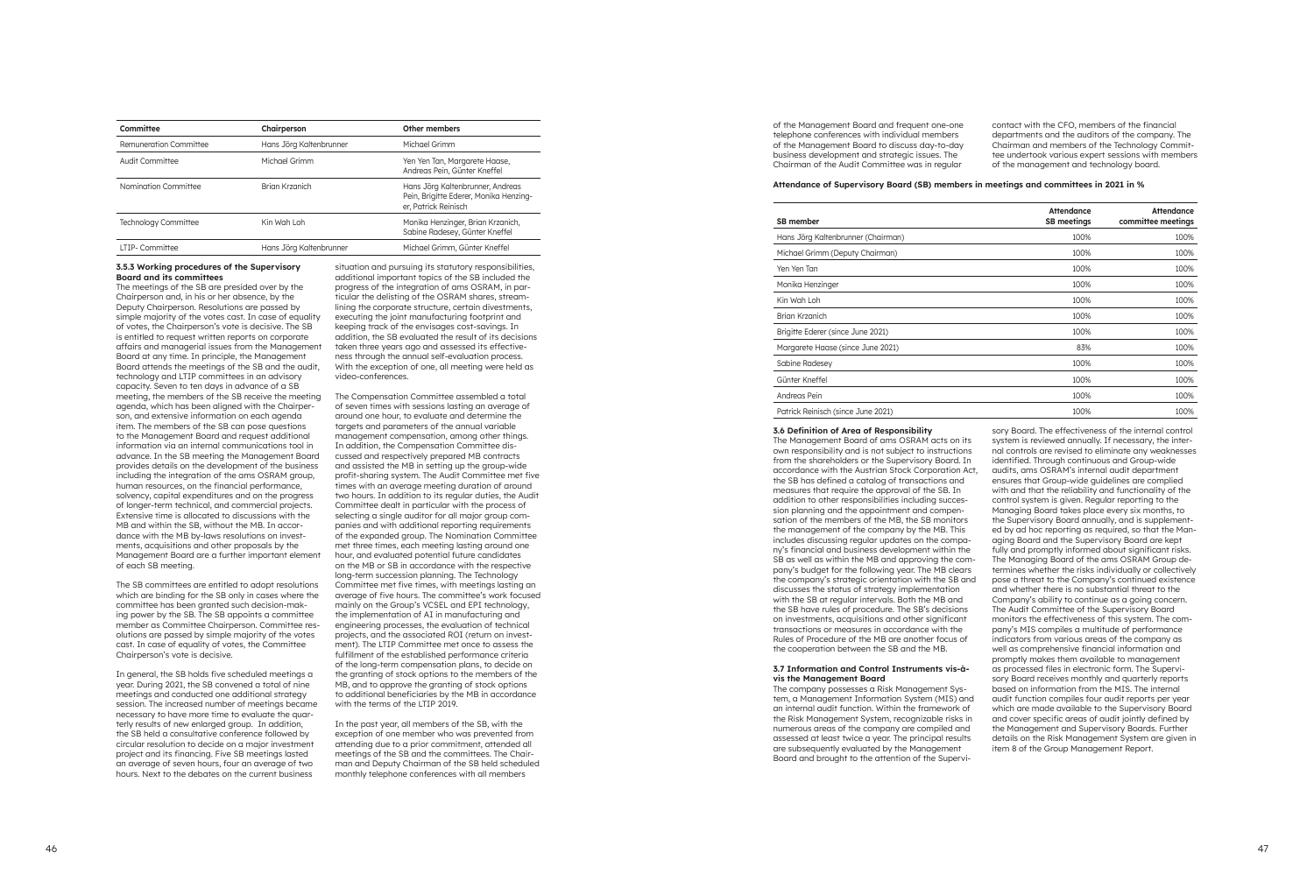| Committee                     | Chairperson             | <b>Other members</b>                                                                               |
|-------------------------------|-------------------------|----------------------------------------------------------------------------------------------------|
| <b>Remuneration Committee</b> | Hans Jörg Kaltenbrunner | Michael Grimm                                                                                      |
| Audit Committee               | Michael Grimm           | Yen Yen Tan, Margarete Haase,<br>Andreas Pein, Günter Kneffel                                      |
| Nomination Committee          | Brian Krzanich          | Hans Jörg Kaltenbrunner, Andreas<br>Pein, Brigitte Ederer, Monika Henzing-<br>er, Patrick Reinisch |
| <b>Technology Committee</b>   | Kin Wah Loh             | Monika Henzinger, Brian Krzanich,<br>Sabine Radesey, Günter Kneffel                                |
| LTIP- Committee               | Hans Jörg Kaltenbrunner | Michael Grimm, Günter Kneffel                                                                      |

#### **3.5.3 Working procedures of the Supervisory Board and its committees**

The meetings of the SB are presided over by the Chairperson and, in his or her absence, by the Deputy Chairperson. Resolutions are passed by simple majority of the votes cast. In case of equality of votes, the Chairperson's vote is decisive. The SB is entitled to request written reports on corporate affairs and managerial issues from the Management Board at any time. In principle, the Management Board attends the meetings of the SB and the audit, technology and LTIP committees in an advisory capacity. Seven to ten days in advance of a SB meeting, the members of the SB receive the meeting agenda, which has been aligned with the Chairper son, and extensive information on each agenda item. The members of the SB can pose questions to the Management Board and request additional information via an internal communications tool in advance. In the SB meeting the Management Board provides details on the development of the business including the integration of the ams OSRAM group, human resources, on the financial performance, solvency, capital expenditures and on the progress of longer-term technical, and commercial projects. Extensive time is allocated to discussions with the MB and within the SB, without the MB. In accor dance with the MB by-laws resolutions on invest ments, acquisitions and other proposals by the Management Board are a further important element of each SB meeting.

The SB committees are entitled to adopt resolutions which are binding for the SB only in cases where the committee has been granted such decision-mak ing power by the SB. The SB appoints a committee member as Committee Chairperson. Committee res olutions are passed by simple majority of the votes cast. In case of equality of votes, the Committee Chairperson's vote is decisive.

In general, the SB holds five scheduled meetings a year. During 2021, the SB convened a total of nine meetings and conducted one additional strategy session. The increased number of meetings became necessary to have more time to evaluate the quar terly results of new enlarged group. In addition, the SB held a consultative conference followed by circular resolution to decide on a major investment project and its financing. Five SB meetings lasted an average of seven hours, four an average of two hours. Next to the debates on the current business

situation and pursuing its statutory responsibilities, additional important topics of the SB included the progress of the integration of ams OSRAM, in par ticular the delisting of the OSRAM shares, stream lining the corporate structure, certain divestments, executing the joint manufacturing footprint and keeping track of the envisages cost-savings. In addition, the SB evaluated the result of its decisions taken three years ago and assessed its effective ness through the annual self-evaluation process. With the exception of one, all meeting were held as video-conferences.

The Compensation Committee assembled a total of seven times with sessions lasting an average of around one hour, to evaluate and determine the targets and parameters of the annual variable management compensation, among other things. In addition, the Compensation Committee dis cussed and respectively prepared MB contracts and assisted the MB in setting up the group-wide profit-sharing system. The Audit Committee met five times with an average meeting duration of around two hours. In addition to its regular duties, the Audit Committee dealt in particular with the process of selecting a single auditor for all major group com panies and with additional reporting requirements of the expanded group. The Nomination Committee met three times, each meeting lasting around one hour, and evaluated potential future candidates on the MB or SB in accordance with the respective long-term succession planning. The Technology Committee met five times, with meetings lasting an average of five hours. The committee's work focused mainly on the Group's VCSEL and EPI technology, the implementation of AI in manufacturing and engineering processes, the evaluation of technical projects, and the associated ROI (return on invest ment). The LTIP Committee met once to assess the fulfillment of the established performance criteria of the long-term compensation plans, to decide on the granting of stock options to the members of the MB, and to approve the granting of stock options to additional beneficiaries by the MB in accordance with the terms of the LTIP 2019.

In the past year, all members of the SB, with the exception of one member who was prevented from attending due to a prior commitment, attended all meetings of the SB and the committees. The Chair man and Deputy Chairman of the SB held scheduled monthly telephone conferences with all members

of the Management Board and frequent one-one telephone conferences with individual members of the Management Board to discuss day-to-day business development and strategic issues. The Chairman of the Audit Committee was in regular contact with the CFO, members of the financial departments and the auditors of the company. The Chairman and members of the Technology Commit tee undertook various expert sessions with members of the management and technology board.

#### **Attendance of Supervisory Board (SB) members in meatlems**

| <b>SB member</b>                   | <b>Attendance</b><br><b>SB</b> meetings | <b>Attendance</b><br>committee meetings |
|------------------------------------|-----------------------------------------|-----------------------------------------|
| Hans Jörg Kaltenbrunner (Chairman) | 100%                                    | 100%                                    |
| Michael Grimm (Deputy Chairman)    | 100%                                    | 100%                                    |
| Yen Yen Tan                        | 100%                                    | 100%                                    |
| Monika Henzinger                   | 100%                                    | 100%                                    |
| Kin Wah Loh                        | 100%                                    | 100%                                    |
| Brian Krzanich                     | 100%                                    | 100%                                    |
| Brigitte Ederer (since June 2021)  | 100%                                    | 100%                                    |
| Margarete Haase (since June 2021)  | 83%                                     | 100%                                    |
| Sabine Radesey                     | 100%                                    | 100%                                    |
| Günter Kneffel                     | 100%                                    | 100%                                    |
| Andreas Pein                       | 100%                                    | 100%                                    |
| Patrick Reinisch (since June 2021) | 100%                                    | 100%                                    |

 $\equiv$ 

#### **3.6 Definition of Area of Responsibility**

The Management Board of ams OSRAM acts on its own responsibility and is not subject to instructions from the shareholders or the Supervisory Board. In accordance with the Austrian Stock Corporation Act, the SB has defined a catalog of transactions and measures that require the approval of the SB. In addition to other responsibilities including succes sion planning and the appointment and compen sation of the members of the MB, the SB monitors the management of the company by the MB. This includes discussing regular updates on the compa ny's financial and business development within the SB as well as within the MB and approving the company's budget for the following year. The MB clears the company's strategic orientation with the SB and discusses the status of strategy implementation with the SB at regular intervals. Both the MB and the SB have rules of procedure. The SB's decisions on investments, acquisitions and other significant transactions or measures in accordance with the Rules of Procedure of the MB are another focus of the cooperation between the SB and the MB.

#### **3.7 Information and Control Instruments vis-àvis the Management Board**

The company possesses a Risk Management Sys tem, a Management Information System (MIS) and an internal audit function. Within the framework of the Risk Management System, recognizable risks in numerous areas of the company are compiled and assessed at least twice a year. The principal results are subsequently evaluated by the Management Board and brought to the attention of the Supervi -

| eetings and committees in 2021 in % |  |  |  |  |  |
|-------------------------------------|--|--|--|--|--|
|-------------------------------------|--|--|--|--|--|

sory Board. The effectiveness of the internal control system is reviewed annually. If necessary, the inter nal controls are revised to eliminate any weaknesses identified. Through continuous and Group-wide audits, ams OSRAM's internal audit department ensures that Group-wide guidelines are complied with and that the reliability and functionality of the control system is given. Regular reporting to the Managing Board takes place every six months, to the Supervisory Board annually, and is supplement ed by ad hoc reporting as required, so that the Man aging Board and the Supervisory Board are kept fully and promptly informed about significant risks. The Managing Board of the ams OSRAM Group de termines whether the risks individually or collectively pose a threat to the Company's continued existence and whether there is no substantial threat to the Company's ability to continue as a going concern. The Audit Committee of the Supervisory Board monitors the effectiveness of this system. The com pany's MIS compiles a multitude of performance indicators from various areas of the company as well as comprehensive financial information and promptly makes them available to management as processed files in electronic form. The Supervi sory Board receives monthly and quarterly reports based on information from the MIS. The internal audit function compiles four audit reports per year which are made available to the Supervisory Board and cover specific areas of audit jointly defined by the Management and Supervisory Boards. Further details on the Risk Management System are given in item 8 of the Group Management Report.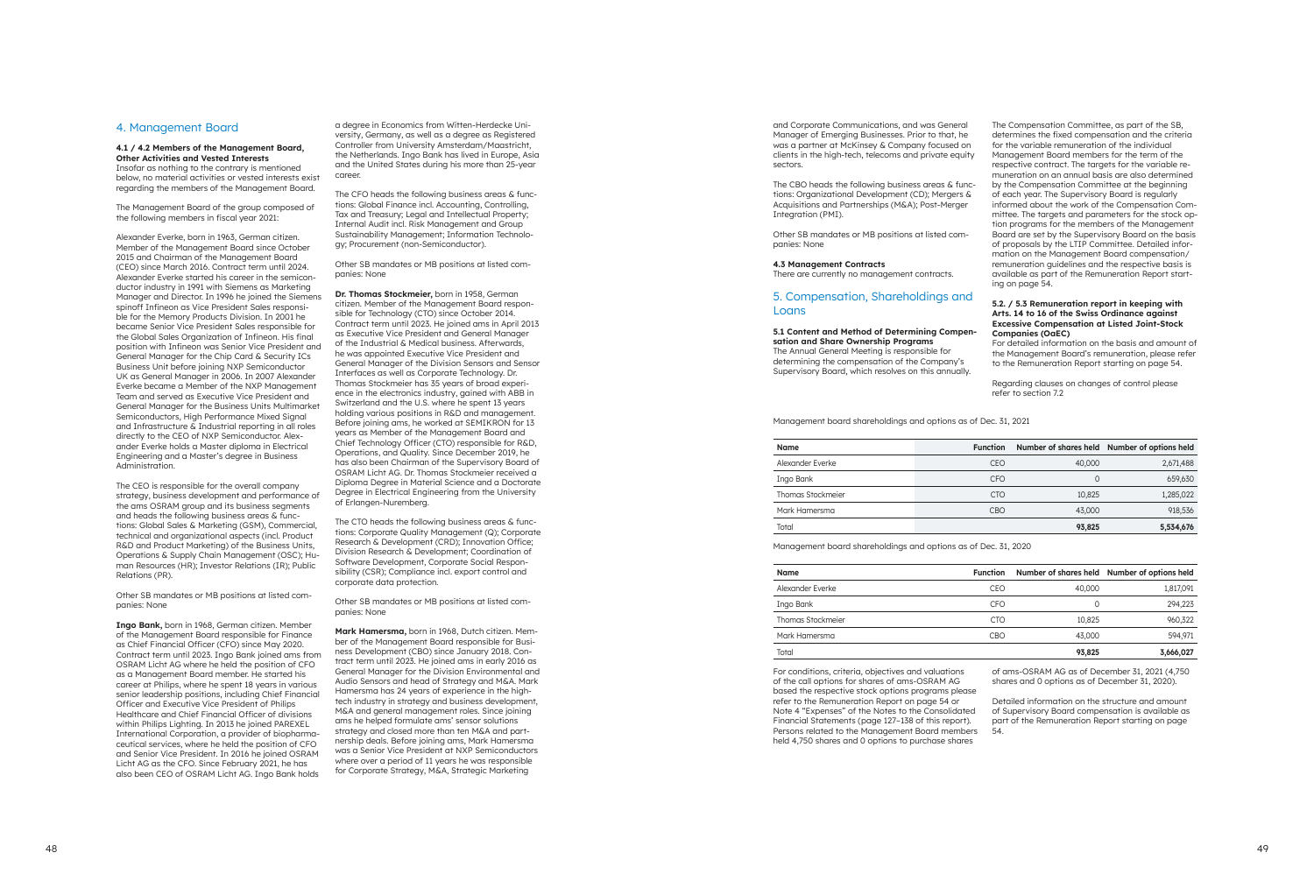# 4. Management Board

#### **4.1 / 4.2 Members of the Management Board, Other Activities and Vested Interests**

Insofar as nothing to the contrary is mentioned below, no material activities or vested interests exist regarding the members of the Management Board.

The Management Board of the group composed of the following members in fiscal year 2021:

Alexander Everke, born in 1963, German citizen. Member of the Management Board since October 2015 and Chairman of the Management Board (CEO) since March 2016. Contract term until 2024. Alexander Everke started his career in the semicon ductor industry in 1991 with Siemens as Marketing Manager and Director. In 1996 he joined the Siemens spinoff Infineon as Vice President Sales responsi ble for the Memory Products Division. In 2001 he became Senior Vice President Sales responsible for the Global Sales Organization of Infineon. His final position with Infineon was Senior Vice President and General Manager for the Chip Card & Security ICs Business Unit before joining NXP Semiconductor UK as General Manager in 2006. In 2007 Alexander Everke became a Member of the NXP Management Team and served as Executive Vice President and General Manager for the Business Units Multimarket Semiconductors, High Performance Mixed Signal and Infrastructure & Industrial reporting in all roles directly to the CEO of NXP Semiconductor. Alex ander Everke holds a Master diploma in Electrical Engineering and a Master's degree in Business Administration.

The CFO heads the following business areas & functions: Global Finance incl. Accounting, Controlling, Tax and Treasury; Legal and Intellectual Property; Internal Audit incl. Risk Management and Group Sustainability Management; Information Technolo gy; Procurement (non-Semiconductor).

The CEO is responsible for the overall company strategy, business development and performance of the ams OSRAM group and its business segments and heads the following business areas & func tions: Global Sales & Marketing (GSM), Commercial, technical and organizational aspects (incl. Product R&D and Product Marketing) of the Business Units, Operations & Supply Chain Management (OSC); Hu man Resources (HR); Investor Relations (IR); Public Relations (PR).

Other SB mandates or MB positions at listed com panies: None

The CTO heads the following business areas & functions: Corporate Quality Management (Q); Corporate Research & Development (CRD); Innovation Office; Division Research & Development; Coordination of Software Development, Corporate Social Respon sibility (CSR); Compliance incl. export control and corporate data protection.

**Ingo Bank,** born in 1968, German citizen. Member of the Management Board responsible for Finance as Chief Financial Officer (CFO) since May 2020. Contract term until 2023. Ingo Bank joined ams from OSRAM Licht AG where he held the position of CFO as a Management Board member. He started his career at Philips, where he spent 18 years in various senior leadership positions, including Chief Financial Officer and Executive Vice President of Philips Healthcare and Chief Financial Officer of divisions within Philips Lighting. In 2013 he joined PAREXEL International Corporation, a provider of biopharma ceutical services, where he held the position of CFO and Senior Vice President. In 2016 he joined OSRAM Licht AG as the CFO. Since February 2021, he has also been CEO of OSRAM Licht AG. Ingo Bank holds

a degree in Economics from Witten-Herdecke Uni versity, Germany, as well as a degree as Registered Controller from University Amsterdam/Maastricht, the Netherlands. Ingo Bank has lived in Europe, Asia and the United States during his more than 25-year career.

The CBO heads the following business areas & functions: Organizational Development (CD); Mergers & Acquisitions and Partnerships (M&A); Post-Merger Integration (PMI).

Other SB mandates or MB positions at listed com panies: None

**Dr. Thomas Stockmeier,** born in 1958, German citizen. Member of the Management Board respon sible for Technology (CTO) since October 2014. Contract term until 2023. He joined ams in April 2013 as Executive Vice President and General Manager of the Industrial & Medical business. Afterwards, he was appointed Executive Vice President and General Manager of the Division Sensors and Sensor Interfaces as well as Corporate Technology. Dr. Thomas Stockmeier has 35 years of broad experi ence in the electronics industry, gained with ABB in Switzerland and the U.S. where he spent 13 years holding various positions in R&D and management. Before joining ams, he worked at SEMIKRON for 13 years as Member of the Management Board and Chief Technology Officer (CTO) responsible for R&D, Operations, and Quality. Since December 2019, he has also been Chairman of the Supervisory Board of OSRAM Licht AG. Dr. Thomas Stockmeier received a Diploma Degree in Material Science and a Doctorate Degree in Electrical Engineering from the University of Erlangen-Nuremberg.

Other SB mandates or MB positions at listed com panies: None

**Mark Hamersma,** born in 1968, Dutch citizen. Mem ber of the Management Board responsible for Busi ness Development (CBO) since January 2018. Con tract term until 2023. He joined ams in early 2016 as General Manager for the Division Environmental and Audio Sensors and head of Strategy and M&A. Mark Hamersma has 24 years of experience in the hightech industry in strategy and business development, M&A and general management roles. Since joining ams he helped formulate ams' sensor solutions strategy and closed more than ten M&A and part nership deals. Before joining ams, Mark Hamersma was a Senior Vice President at NXP Semiconductors where over a period of 11 years he was responsible for Corporate Strategy, M&A, Strategic Marketing

and Corporate Communications, and was General Manager of Emerging Businesses. Prior to that, he was a partner at McKinsey & Company focused on clients in the high-tech, telecoms and private equity sectors.

Other SB mandates or MB positions at listed com panies: None

#### **4.3 Management Contracts**

There are currently no management contracts.

# 5. Compensation, Shareholdings and Loans

# **5.1 Content and Method of Determining Compen sation and Share Ownership Programs**  The Annual General Meeting is responsible for

determining the compensation of the Company's Supervisory Board, which resolves on this annually.

#### Management board shareholdings and options as of Dec.

The Compensation Committee, as part of the SB, determines the fixed compensation and the criteria for the variable remuneration of the individual Management Board members for the term of the respective contract. The targets for the variable re muneration on an annual basis are also determined by the Compensation Committee at the beginning of each year. The Supervisory Board is regularly informed about the work of the Compensation Com mittee. The targets and parameters for the stock op tion programs for the members of the Management Board are set by the Supervisory Board on the basis of proposals by the LTIP Committee. Detailed infor mation on the Management Board compensation/ remuneration guidelines and the respective basis is available as part of the Remuneration Report start ing on page 54.

#### **5.2. / 5.3 Remuneration report in keeping with Arts. 14 to 16 of the Swiss Ordinance against Excessive Compensation at Listed Joint-Stock Companies (OaEC)**

For detailed information on the basis and amount of the Management Board's remuneration, please refer to the Remuneration Report starting on page 54.

Regarding clauses on changes of control please refer to section 7.2

|  | , |
|--|---|
|  |   |

| Name              | <b>Function</b> |          | Number of shares held Number of options held |
|-------------------|-----------------|----------|----------------------------------------------|
| Alexander Everke  | <b>CEO</b>      | 40,000   | 2,671,488                                    |
| Ingo Bank         | <b>CFO</b>      | $\Omega$ | 659,630                                      |
| Thomas Stockmeier | <b>CTO</b>      | 10,825   | 1,285,022                                    |
| Mark Hamersma     | CBO             | 43,000   | 918,536                                      |
| Total             |                 | 93,825   | 5,534,676                                    |

Management board shareholdings and options as of Dec. 31, 2020

| <b>Name</b>       | <b>Function</b> |        | Number of shares held Number of options held |
|-------------------|-----------------|--------|----------------------------------------------|
| Alexander Everke  | CEO             | 40,000 | 1,817,091                                    |
| Ingo Bank         | <b>CFO</b>      | 0      | 294,223                                      |
| Thomas Stockmeier | <b>CTO</b>      | 10,825 | 960,322                                      |
| Mark Hamersma     | CBO             | 43,000 | 594,971                                      |
| Total             |                 | 93,825 | 3,666,027                                    |
|                   |                 |        |                                              |

For conditions, criteria, objectives and valuations of the call options for shares of ams-OSRAM AG based the respective stock options programs please refer to the Remuneration Report on page 54 or Note 4 "Expenses" of the Notes to the Consolidated Financial Statements (page 127–138 of this report). Persons related to the Management Board members held 4,750 shares and 0 options to purchase shares of ams-OSRAM AG as of December 31, 2021 (4,750 shares and 0 options as of December 31, 2020). Detailed information on the structure and amount of Supervisory Board compensation is available as part of the Remuneration Report starting on page 54.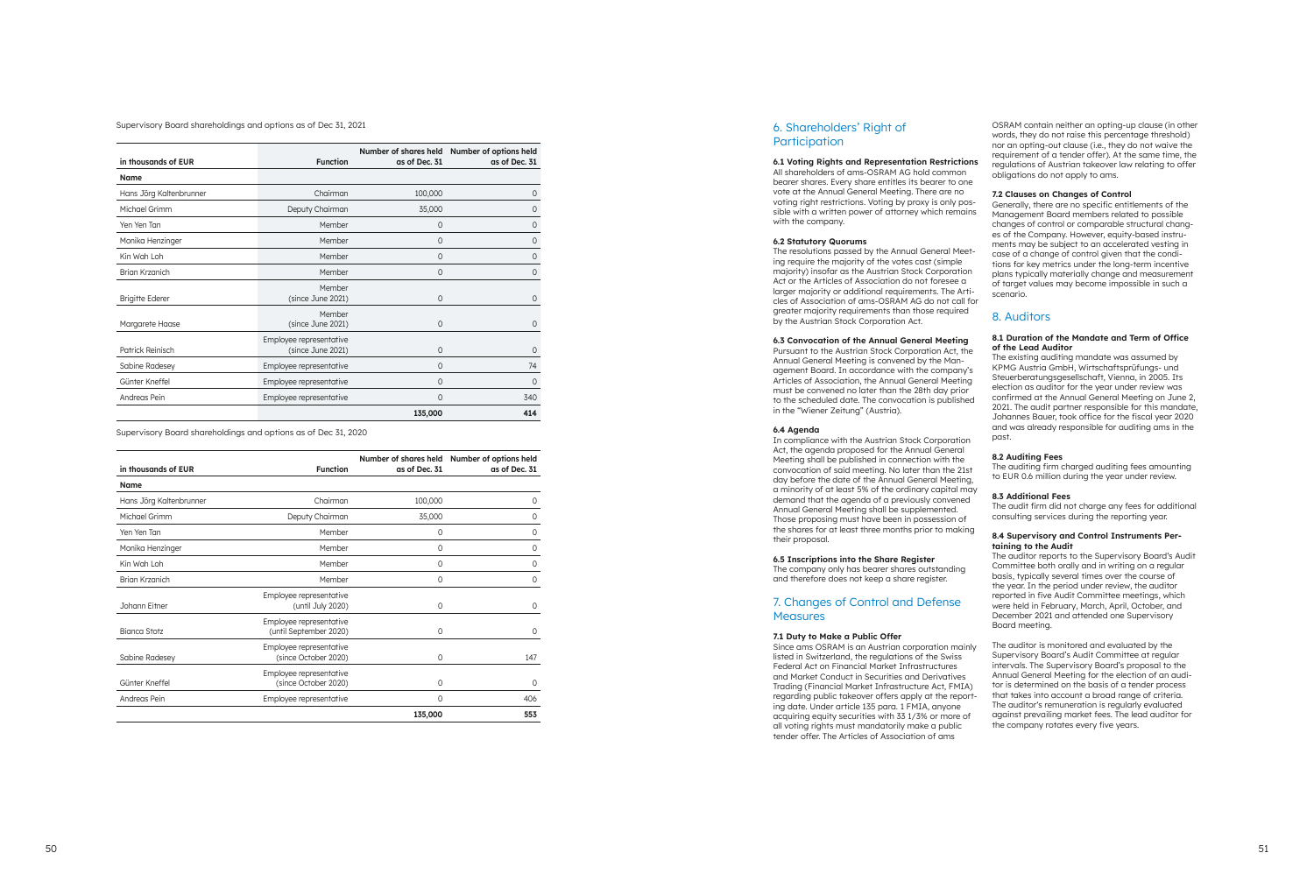Supervisory Board shareholdings and options as of Dec 31, 2021

| in thousands of EUR     | <b>Function</b>                              | as of Dec. 31 | Number of shares held Number of options held<br>as of Dec. 31 |
|-------------------------|----------------------------------------------|---------------|---------------------------------------------------------------|
| <b>Name</b>             |                                              |               |                                                               |
| Hans Jörg Kaltenbrunner | Chairman                                     | 100,000       | 0                                                             |
| Michael Grimm           | Deputy Chairman                              | 35,000        | 0                                                             |
| Yen Yen Tan             | Member                                       | $\mathbf{0}$  | 0                                                             |
| Monika Henzinger        | Member                                       | $\mathbf{0}$  | 0                                                             |
| Kin Wah Loh             | Member                                       | $\mathbf{0}$  | 0                                                             |
| <b>Brian Krzanich</b>   | Member                                       | $\mathbf{0}$  | 0                                                             |
| <b>Brigitte Ederer</b>  | Member<br>(since June 2021)                  | $\mathbf{0}$  | 0                                                             |
| Margarete Haase         | Member<br>(since June 2021)                  | $\mathbf{0}$  | 0                                                             |
| Patrick Reinisch        | Employee representative<br>(since June 2021) | $\mathbf{0}$  | 0                                                             |
| Sabine Radesey          | Employee representative                      | $\mathbf{0}$  | 74                                                            |
| Günter Kneffel          | Employee representative                      | $\Omega$      | $\mathbf 0$                                                   |
| Andreas Pein            | Employee representative                      | $\Omega$      | 340                                                           |
|                         |                                              | 135,000       | 414                                                           |

Supervisory Board shareholdings and options as of Dec 31, 2020

| in thousands of EUR     | <b>Function</b>                                   | as of Dec. 31 | Number of shares held Number of options held<br>as of Dec. 31 |
|-------------------------|---------------------------------------------------|---------------|---------------------------------------------------------------|
| <b>Name</b>             |                                                   |               |                                                               |
| Hans Jörg Kaltenbrunner | Chairman                                          | 100,000       | 0                                                             |
| Michael Grimm           | Deputy Chairman                                   | 35,000        | 0                                                             |
| Yen Yen Tan             | Member                                            | $\mathbf 0$   | 0                                                             |
| Monika Henzinger        | Member                                            | $\mathbf 0$   | 0                                                             |
| Kin Wah Loh             | Member                                            | $\mathbf 0$   | 0                                                             |
| <b>Brian Krzanich</b>   | Member                                            | $\mathbf 0$   | 0                                                             |
| Johann Eitner           | Employee representative<br>(until July 2020)      | $\mathbf 0$   | 0                                                             |
| <b>Bianca Stotz</b>     | Employee representative<br>(until September 2020) | $\mathbf 0$   | 0                                                             |
| Sabine Radesey          | Employee representative<br>(since October 2020)   | $\Omega$      | 147                                                           |
| Günter Kneffel          | Employee representative<br>(since October 2020)   | $\mathbf 0$   | 0                                                             |
| Andreas Pein            | Employee representative                           | 0             | 406                                                           |
|                         |                                                   | 135,000       | 553                                                           |

# 6. Shareholders' Right of Participation

**6.1 Voting Rights and Representation Restrictions**  All shareholders of ams-OSRAM AG hold common bearer shares. Every share entitles its bearer to one vote at the Annual General Meeting. There are no voting right restrictions. Voting by proxy is only pos sible with a written power of attorney which remains with the company.

# 7. Changes of Control and Defense **Measures**

#### **6.2 Statutory Quorums**

The resolutions passed by the Annual General Meet ing require the majority of the votes cast (simple majority) insofar as the Austrian Stock Corporation Act or the Articles of Association do not foresee a larger majority or additional requirements. The Arti cles of Association of ams-OSRAM AG do not call for greater majority requirements than those required by the Austrian Stock Corporation Act.

#### **6.3 Convocation of the Annual General Meeting**

Pursuant to the Austrian Stock Corporation Act, the Annual General Meeting is convened by the Man agement Board. In accordance with the company's Articles of Association, the Annual General Meeting must be convened no later than the 28th day prior to the scheduled date. The convocation is published in the "Wiener Zeitung" (Austria).

#### **6.4 Agenda**

In compliance with the Austrian Stock Corporation Act, the agenda proposed for the Annual General Meeting shall be published in connection with the convocation of said meeting. No later than the 21st day before the date of the Annual General Meeting, a minority of at least 5% of the ordinary capital may demand that the agenda of a previously convened Annual General Meeting shall be supplemented. Those proposing must have been in possession of the shares for at least three months prior to making their proposal.

#### **6.5 Inscriptions into the Share Register**

The company only has bearer shares outstanding and therefore does not keep a share register.

#### **7.1 Duty to Make a Public Offer**

Since ams OSRAM is an Austrian corporation mainly listed in Switzerland, the regulations of the Swiss Federal Act on Financial Market Infrastructures and Market Conduct in Securities and Derivatives Trading (Financial Market Infrastructure Act, FMIA) regarding public takeover offers apply at the report ing date. Under article 135 para. 1 FMIA, anyone acquiring equity securities with 33 1/3% or more of all voting rights must mandatorily make a public tender offer. The Articles of Association of ams

OSRAM contain neither an opting-up clause (in other words, they do not raise this percentage threshold) nor an opting-out clause (i.e., they do not waive the requirement of a tender offer). At the same time, the regulations of Austrian takeover law relating to offer obligations do not apply to ams.

# **7.2 Clauses on Changes of Control**

Generally, there are no specific entitlements of the Management Board members related to possible changes of control or comparable structural chang es of the Company. However, equity-based instru ments may be subject to an accelerated vesting in case of a change of control given that the condi tions for key metrics under the long-term incentive plans typically materially change and measurement of target values may become impossible in such a scenario.

# 8. Auditors

### **8.1 Duration of the Mandate and Term of Office of the Lead Auditor**

The existing auditing mandate was assumed by KPMG Austria GmbH, Wirtschaftsprüfungs- und Steuerberatungsgesellschaft, Vienna, in 2005. Its election as auditor for the year under review was confirmed at the Annual General Meeting on June 2, 2021. The audit partner responsible for this mandate, Johannes Bauer, took office for the fiscal year 2020 and was already responsible for auditing ams in the past.

# **8.2 Auditing Fees**

The auditing firm charged auditing fees amounting to EUR 0.6 million during the year under review.

# **8.3 Additional Fees**

The audit firm did not charge any fees for additional consulting services during the reporting year.

#### **8.4 Supervisory and Control Instruments Per taining to the Audit**

The auditor reports to the Supervisory Board's Audit Committee both orally and in writing on a regular basis, typically several times over the course of the year. In the period under review, the auditor reported in five Audit Committee meetings, which were held in February, March, April, October, and December 2021 and attended one Supervisory Board meeting.

The auditor is monitored and evaluated by the Supervisory Board's Audit Committee at regular intervals. The Supervisory Board's proposal to the Annual General Meeting for the election of an audi tor is determined on the basis of a tender process that takes into account a broad range of criteria. The auditor's remuneration is regularly evaluated against prevailing market fees. The lead auditor for the company rotates every five years.